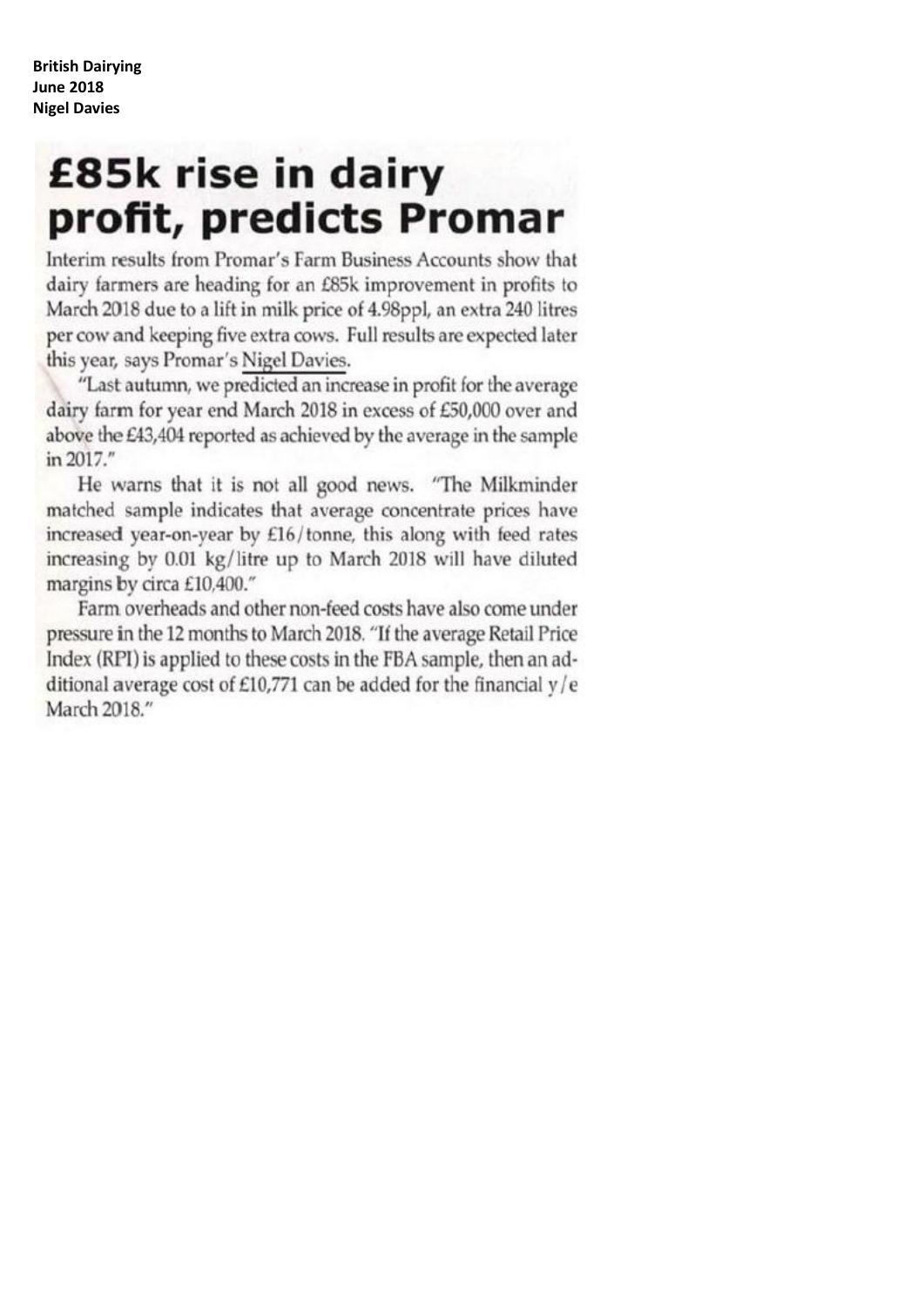# £85k rise in dairy profit, predicts Promar

Interim results from Promar's Farm Business Accounts show that dairy farmers are heading for an £85k improvement in profits to March 2018 due to a lift in milk price of 4.98ppl, an extra 240 litres per cow and keeping five extra cows. Full results are expected later this year, says Promar's Nigel Davies.

"Last autumn, we predicted an increase in profit for the average dairy farm for year end March 2018 in excess of £50,000 over and above the £43,404 reported as achieved by the average in the sample in 2017."

He warns that it is not all good news. "The Milkminder matched sample indicates that average concentrate prices have increased year-on-year by £16/tonne, this along with feed rates increasing by 0.01 kg/litre up to March 2018 will have diluted margins by circa £10,400."

Farm overheads and other non-feed costs have also come under pressure in the 12 months to March 2018. "If the average Retail Price Index (RPI) is applied to these costs in the FBA sample, then an additional average cost of £10,771 can be added for the financial  $y/e$ March 2018."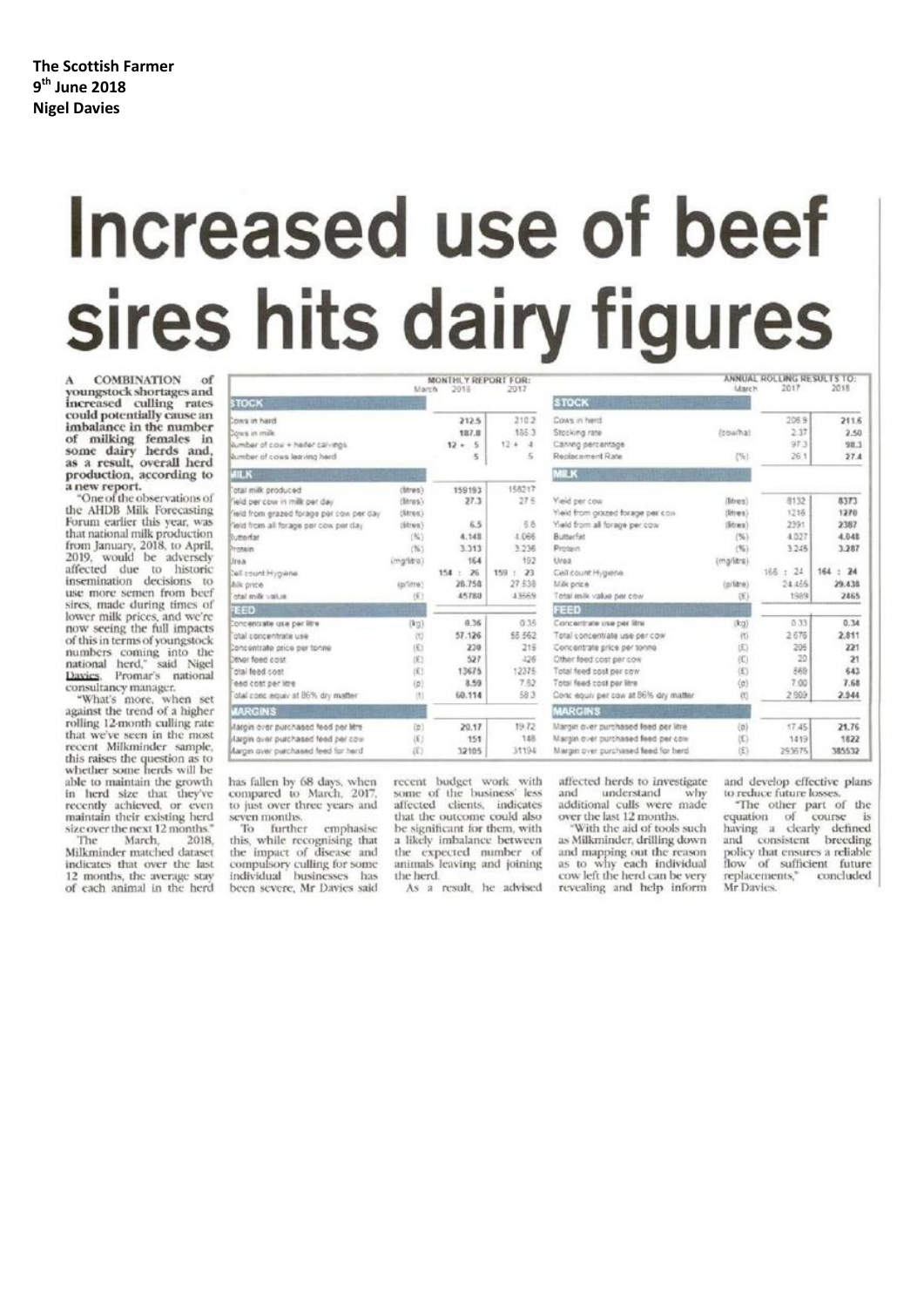# Increased use of beef sires hits dairy figures

**COMBINATION** youngstock shortages and<br>increased culling rates could potentially cause an imbalance in the number monaute in the number<br>some dairy herds and,<br>as a result, overall herd<br>production, according to a new report.

"One of the observations of the AHDB Milk Forecasting Forum earlier this year, was that national milk production<br>from January, 2018, to April,<br>2019, would be adversely affected due to historic<br>insemination decisions to<br>use more semen from beef sires, made during times of lower milk prices, and we're<br>now seeing the full impacts of this in terms of youngstock numbers coming into the<br>national herd," said Nigel<br>Davies. Promar's national consultancy manager.

"What's more, when set<br>against the trend of a higher rolling 12-month culling rate that we've seen in the most recent Milkminder sample. this raises the question as to<br>whether some herds will be able to maintain the growth in herd size that they've<br>recently achieved, or even maintain their existing herd size over the next 12 months.<br>The March, 2018 2018

Milkminder matched dataset indicates that over the last 12 months, the average stay of each animal in the herd

|                             | 212.5                                                 |                                           | <b>STOCK</b>                                                                                                      |
|-----------------------------|-------------------------------------------------------|-------------------------------------------|-------------------------------------------------------------------------------------------------------------------|
|                             |                                                       |                                           |                                                                                                                   |
|                             | 187.8<br>$12 - 5$<br>5                                | 210.2<br>185.3<br>12.4<br>$\lambda$<br>×. | Cows in herd<br>Stocking rate<br>Carving percentage<br>Replacement Rate                                           |
|                             |                                                       |                                           | <b>MILK</b>                                                                                                       |
| (litres)<br>(Benes):        | 159193<br>27.3                                        | 158217<br>27.5                            | Yield per cow<br>Yield from grazed forage per con-                                                                |
| $th$ rien)<br>(94)<br>(165) | 6.5<br>4.148<br>3.313                                 | 6.6<br>4.066<br>3.236                     | Yield from all forage per cow<br>Butterfall<br>Protein                                                            |
| (mg/litra)                  | 164<br>26<br>$154 -$<br>28.758                        | 192<br>$159 + 23$<br>27 538               | Unsa.<br>Cell count Hygiene<br>Millik priz a                                                                      |
| $(f_1)$                     | 45788                                                 | 43569                                     | Total milk value per cow                                                                                          |
|                             |                                                       |                                           | FEED                                                                                                              |
| $(k_2)$<br>岗                | 0.36<br>57.126<br>230                                 | 65 562<br>216                             | Concentrate use per litre<br>Total concentrate use per cow<br>Concentrate price per tonno                         |
| (6)<br>(E)                  | 527<br>13675                                          | 426<br>12375                              | Other food cost per cow<br>Total feed cost per cow                                                                |
| U                           | 60.114                                                | 58.3                                      | Total feed cost per litre<br>Conc equiv per cow at 56% dry matte                                                  |
|                             |                                                       |                                           | <b>MARGINS</b>                                                                                                    |
| (p)<br>(E)                  | 20.17<br>151                                          | 19.72<br>148                              | Margin quer purchased feed per litre<br>Margin over purchased feed per cow<br>Margin over purchased feed for herd |
|                             | (Mres)<br>(p/ime)<br>固<br>$\langle p \rangle$<br>(f.) | 8.59<br>12105                             | 0.35<br>7.82<br>31194                                                                                             |

has fallen by 68 days, when<br>compared to March, 2017, to just over three years and seven months.

To further emphasise<br>this, while recognising that the impact of disease and compulsory culling for some<br>individual businesses has been severe, Mr Davies said

recent budget work with<br>some of the business' less affected clients, indicates that the outcome could also be significant for them, with a likely imbalance between the expected number of animals leaving and joining the herd.

As a result, he advised

affected herds to investigate<br>and understand why additional culls were made over the last 12 months.

With the aid of tools such as Milkminder, drilling down and mapping out the reason<br>as to why each individual<br>cow left the herd can be very revealing and help inform

and develop effective plans to reduce future losses.

ANNUAL ROLLING RESULTS TO:

2069

 $237$ 

 $97.7$ 

 $261$ 

8132

1216

2991

4.027

3245

24.459

1989

 $0.32$ 

2.676

206

 $20$ 

860

7.00

2.809

17.45

1419

293675

166 : 24

(cowha)

 $(5)$ 

(litres)

(litres)

(Shram)

(mg/lare)

(přítre)

(K)

(kg)

 $\tilde{R}$ 

(E)

æ

(K)

 $\alpha$ 

 $\alpha$ 

 $\langle y \rangle$ 

(£)

图

 $(96)$  $\overline{\alpha}$  2116

2.50

98.3

 $27.4$ 

8373

1270

 $2387$ 

 $4.048$ 

3.287

29.438

2465

 $0.34$ 

2.811

 $221$ 

 $\overline{21}$ 

643

7.68

2.944

21.76

1822

385532

 $164 : 24$ 

Fine other part of the<br>equation of course is<br>having a clearly defined<br>and consistent breeding policy that ensures a reliable<br>flow of sufficient future<br>replacements," concluded Mr Davies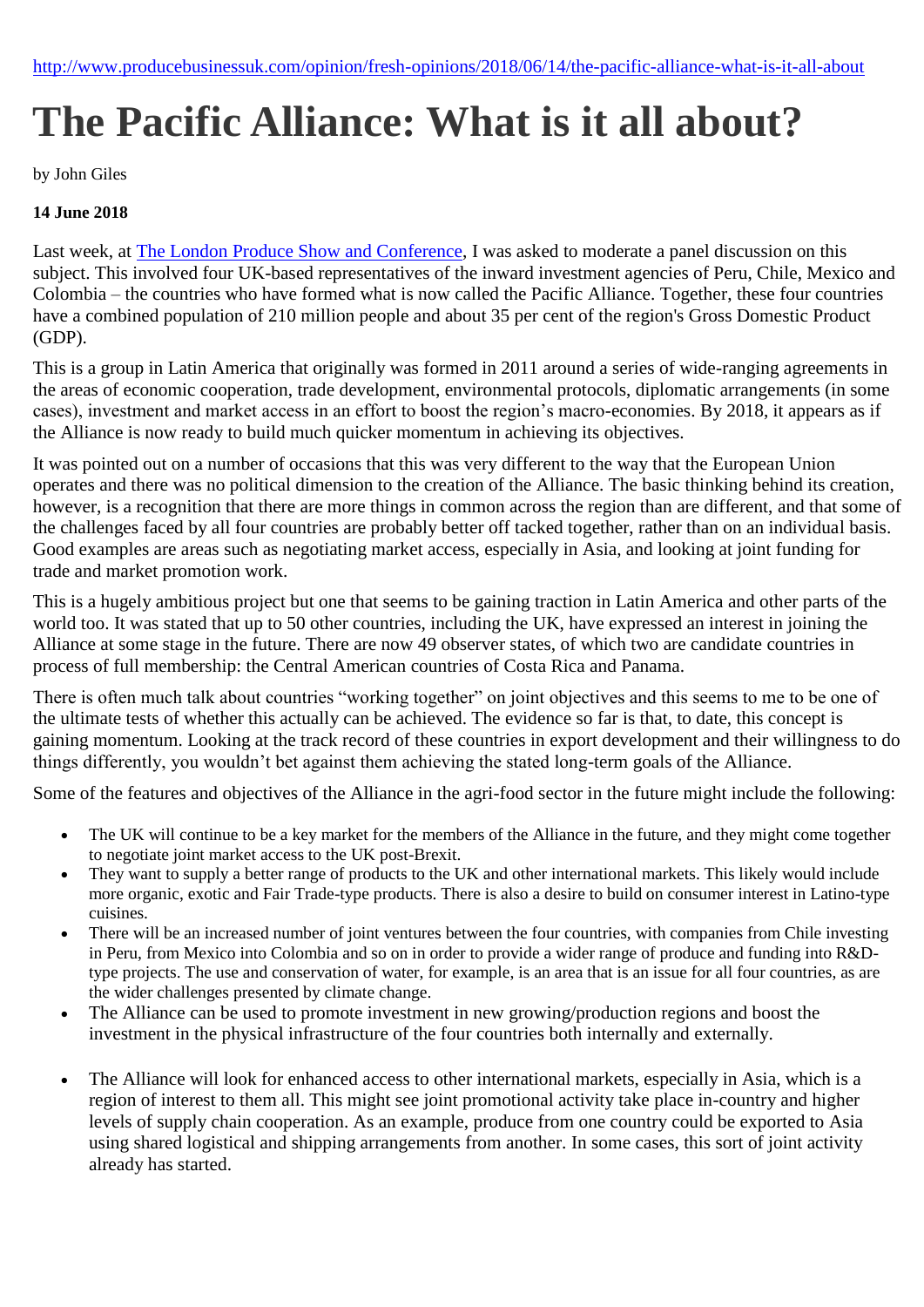# **The Pacific Alliance: What is it all about?**

by John Giles

## **14 June 2018**

Last week, at [The London Produce Show and Conference,](https://londonproduceshow.co.uk/) I was asked to moderate a panel discussion on this subject. This involved four UK-based representatives of the inward investment agencies of Peru, Chile, Mexico and Colombia – the countries who have formed what is now called the Pacific Alliance. Together, these four countries have a combined population of 210 million people and about 35 per cent of the region's Gross Domestic Product (GDP).

This is a group in Latin America that originally was formed in 2011 around a series of wide-ranging agreements in the areas of economic cooperation, trade development, environmental protocols, diplomatic arrangements (in some cases), investment and market access in an effort to boost the region's macro-economies. By 2018, it appears as if the Alliance is now ready to build much quicker momentum in achieving its objectives.

It was pointed out on a number of occasions that this was very different to the way that the European Union operates and there was no political dimension to the creation of the Alliance. The basic thinking behind its creation, however, is a recognition that there are more things in common across the region than are different, and that some of the challenges faced by all four countries are probably better off tacked together, rather than on an individual basis. Good examples are areas such as negotiating market access, especially in Asia, and looking at joint funding for trade and market promotion work.

This is a hugely ambitious project but one that seems to be gaining traction in Latin America and other parts of the world too. It was stated that up to 50 other countries, including the UK, have expressed an interest in joining the Alliance at some stage in the future. There are now 49 observer states, of which two are candidate countries in process of full membership: the Central American countries of Costa Rica and Panama.

There is often much talk about countries "working together" on joint objectives and this seems to me to be one of the ultimate tests of whether this actually can be achieved. The evidence so far is that, to date, this concept is gaining momentum. Looking at the track record of these countries in export development and their willingness to do things differently, you wouldn't bet against them achieving the stated long-term goals of the Alliance.

Some of the features and objectives of the Alliance in the agri-food sector in the future might include the following:

- The UK will continue to be a key market for the members of the Alliance in the future, and they might come together to negotiate joint market access to the UK post-Brexit.
- They want to supply a better range of products to the UK and other international markets. This likely would include more organic, exotic and Fair Trade-type products. There is also a desire to build on consumer interest in Latino-type cuisines.
- There will be an increased number of joint ventures between the four countries, with companies from Chile investing in Peru, from Mexico into Colombia and so on in order to provide a wider range of produce and funding into R&Dtype projects. The use and conservation of water, for example, is an area that is an issue for all four countries, as are the wider challenges presented by climate change.
- The Alliance can be used to promote investment in new growing/production regions and boost the investment in the physical infrastructure of the four countries both internally and externally.
- The Alliance will look for enhanced access to other international markets, especially in Asia, which is a region of interest to them all. This might see joint promotional activity take place in-country and higher levels of supply chain cooperation. As an example, produce from one country could be exported to Asia using shared logistical and shipping arrangements from another. In some cases, this sort of joint activity already has started.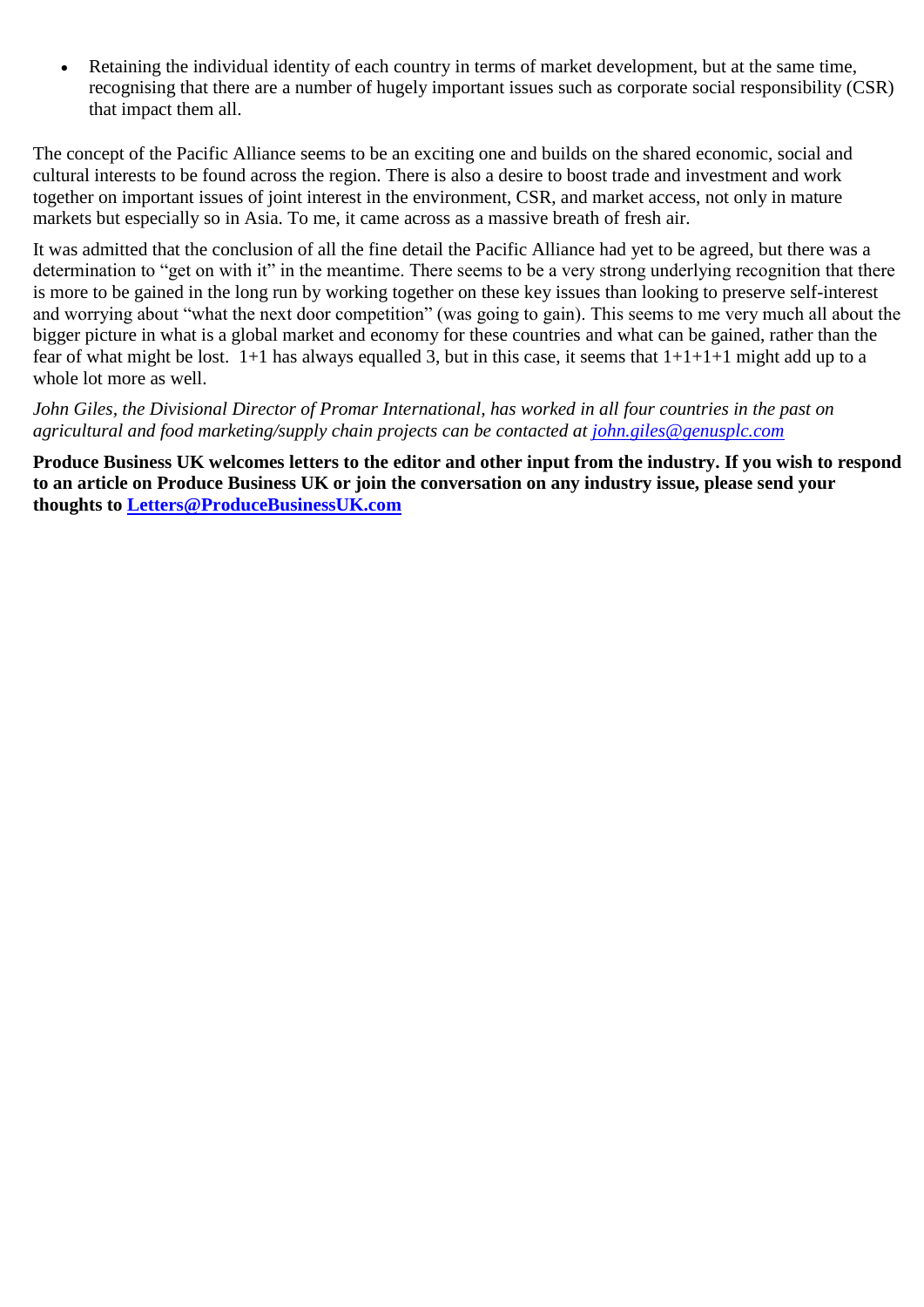Retaining the individual identity of each country in terms of market development, but at the same time, recognising that there are a number of hugely important issues such as corporate social responsibility (CSR) that impact them all.

The concept of the Pacific Alliance seems to be an exciting one and builds on the shared economic, social and cultural interests to be found across the region. There is also a desire to boost trade and investment and work together on important issues of joint interest in the environment, CSR, and market access, not only in mature markets but especially so in Asia. To me, it came across as a massive breath of fresh air.

It was admitted that the conclusion of all the fine detail the Pacific Alliance had yet to be agreed, but there was a determination to "get on with it" in the meantime. There seems to be a very strong underlying recognition that there is more to be gained in the long run by working together on these key issues than looking to preserve self-interest and worrying about "what the next door competition" (was going to gain). This seems to me very much all about the bigger picture in what is a global market and economy for these countries and what can be gained, rather than the fear of what might be lost.  $1+1$  has always equalled 3, but in this case, it seems that  $1+1+1+1$  might add up to a whole lot more as well.

*John Giles, the Divisional Director of Promar International, has worked in all four countries in the past on agricultural and food marketing/supply chain projects can be contacted at [john.giles@genusplc.com](mailto:john.giles@genusplc.com)*

**Produce Business UK welcomes letters to the editor and other input from the industry. If you wish to respond to an article on Produce Business UK or join the conversation on any industry issue, please send your thoughts to [Letters@ProduceBusinessUK.com](mailto:Letters@ProduceBusinessUK.com)**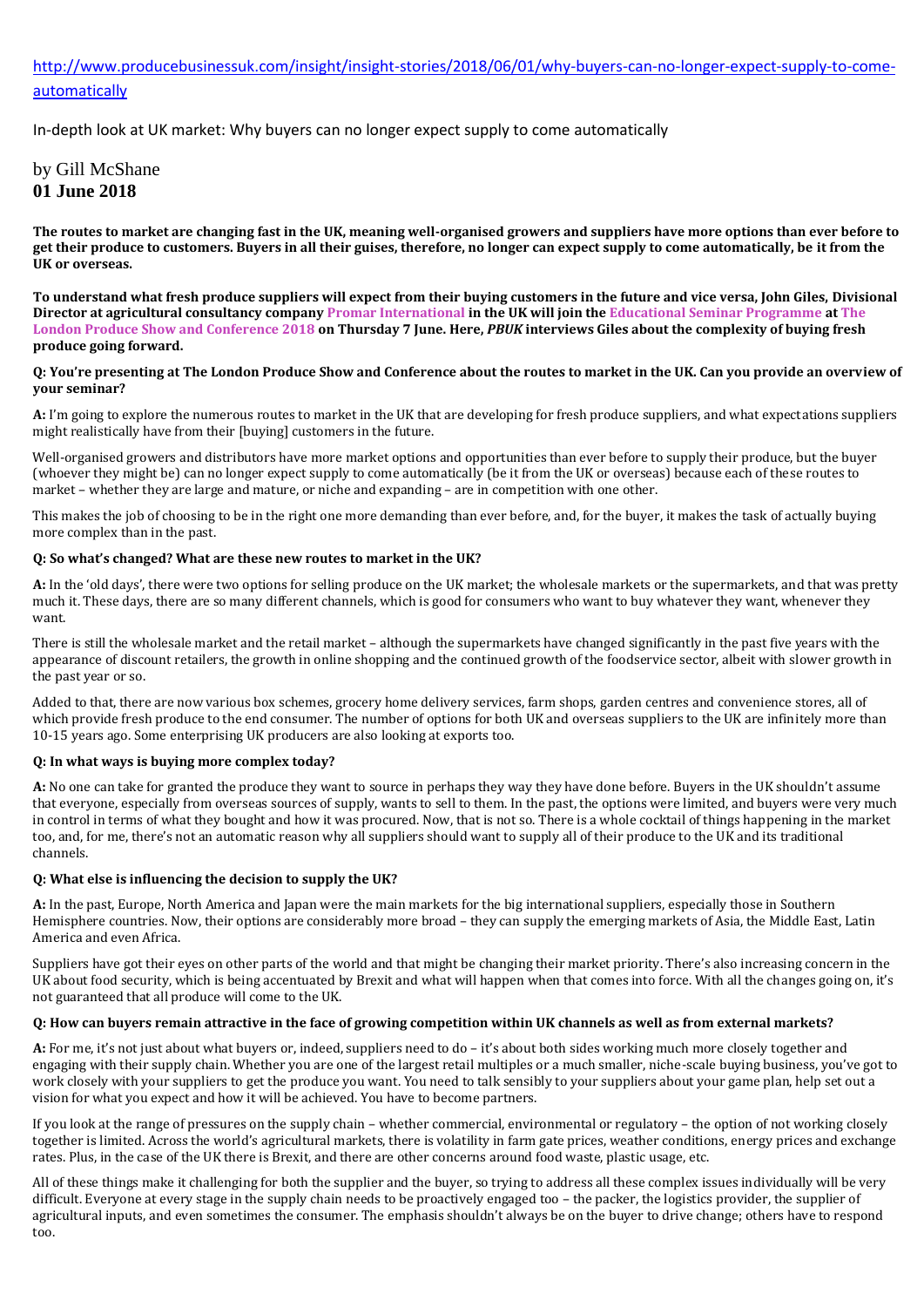## [http://www.producebusinessuk.com/insight/insight-stories/2018/06/01/why-buyers-can-no-longer-expect-supply-to-come](http://www.producebusinessuk.com/insight/insight-stories/2018/06/01/why-buyers-can-no-longer-expect-supply-to-come-automatically)[automatically](http://www.producebusinessuk.com/insight/insight-stories/2018/06/01/why-buyers-can-no-longer-expect-supply-to-come-automatically)

In-depth look at UK market: Why buyers can no longer expect supply to come automatically

## by Gill McShane **01 June 2018**

**The routes to market are changing fast in the UK, meaning well-organised growers and suppliers have more options than ever before to get their produce to customers. Buyers in all their guises, therefore, no longer can expect supply to come automatically, be it from the UK or overseas.** 

**To understand what fresh produce suppliers will expect from their buying customers in the future and vice versa, John Giles, Divisional Director at agricultural consultancy compan[y Promar International](http://www.promar-international.com/) in the UK will join th[e Educational Seminar Programme](https://londonproduceshow.co.uk/2018-agenda/seminars-2018/) a[t The](https://londonproduceshow.co.uk/)  [London Produce Show and Conference 2018](https://londonproduceshow.co.uk/) on Thursday 7 June. Here,** *PBUK* **interviews Giles about the complexity of buying fresh produce going forward.**

#### **Q: You're presenting at The London Produce Show and Conference about the routes to market in the UK. Can you provide an overview of your seminar?**

**A:** I'm going to explore the numerous routes to market in the UK that are developing for fresh produce suppliers, and what expectations suppliers might realistically have from their [buying] customers in the future.

Well-organised growers and distributors have more market options and opportunities than ever before to supply their produce, but the buyer (whoever they might be) can no longer expect supply to come automatically (be it from the UK or overseas) because each of these routes to market – whether they are large and mature, or niche and expanding – are in competition with one other.

This makes the job of choosing to be in the right one more demanding than ever before, and, for the buyer, it makes the task of actually buying more complex than in the past.

#### **Q: So what's changed? What are these new routes to market in the UK?**

**A:** In the 'old days', there were two options for selling produce on the UK market; the wholesale markets or the supermarkets, and that was pretty much it. These days, there are so many different channels, which is good for consumers who want to buy whatever they want, whenever they want.

There is still the wholesale market and the retail market – although the supermarkets have changed significantly in the past five years with the appearance of discount retailers, the growth in online shopping and the continued growth of the foodservice sector, albeit with slower growth in the past year or so.

Added to that, there are now various box schemes, grocery home delivery services, farm shops, garden centres and convenience stores, all of which provide fresh produce to the end consumer. The number of options for both UK and overseas suppliers to the UK are infinitely more than 10-15 years ago. Some enterprising UK producers are also looking at exports too.

#### **Q: In what ways is buying more complex today?**

**A:** No one can take for granted the produce they want to source in perhaps they way they have done before. Buyers in the UK shouldn't assume that everyone, especially from overseas sources of supply, wants to sell to them. In the past, the options were limited, and buyers were very much in control in terms of what they bought and how it was procured. Now, that is not so. There is a whole cocktail of things happening in the market too, and, for me, there's not an automatic reason why all suppliers should want to supply all of their produce to the UK and its traditional channels.

#### **Q: What else is influencing the decision to supply the UK?**

**A:** In the past, Europe, North America and Japan were the main markets for the big international suppliers, especially those in Southern Hemisphere countries. Now, their options are considerably more broad – they can supply the emerging markets of Asia, the Middle East, Latin America and even Africa.

Suppliers have got their eyes on other parts of the world and that might be changing their market priority. There's also increasing concern in the UK about food security, which is being accentuated by Brexit and what will happen when that comes into force. With all the changes going on, it's not guaranteed that all produce will come to the UK.

#### **Q: How can buyers remain attractive in the face of growing competition within UK channels as well as from external markets?**

**A:** For me, it's not just about what buyers or, indeed, suppliers need to do – it's about both sides working much more closely together and engaging with their supply chain. Whether you are one of the largest retail multiples or a much smaller, niche-scale buying business, you've got to work closely with your suppliers to get the produce you want. You need to talk sensibly to your suppliers about your game plan, help set out a vision for what you expect and how it will be achieved. You have to become partners.

If you look at the range of pressures on the supply chain – whether commercial, environmental or regulatory – the option of not working closely together is limited. Across the world's agricultural markets, there is volatility in farm gate prices, weather conditions, energy prices and exchange rates. Plus, in the case of the UK there is Brexit, and there are other concerns around food waste, plastic usage, etc.

All of these things make it challenging for both the supplier and the buyer, so trying to address all these complex issues individually will be very difficult. Everyone at every stage in the supply chain needs to be proactively engaged too – the packer, the logistics provider, the supplier of agricultural inputs, and even sometimes the consumer. The emphasis shouldn't always be on the buyer to drive change; others have to respond too.